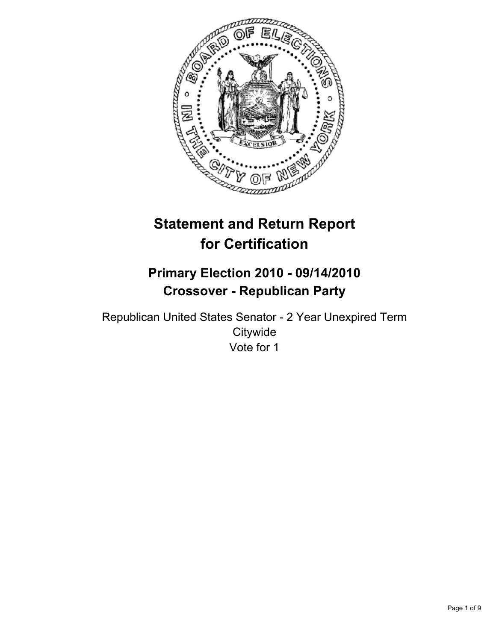

# **Statement and Return Report for Certification**

## **Primary Election 2010 - 09/14/2010 Crossover - Republican Party**

Republican United States Senator - 2 Year Unexpired Term **Citywide** Vote for 1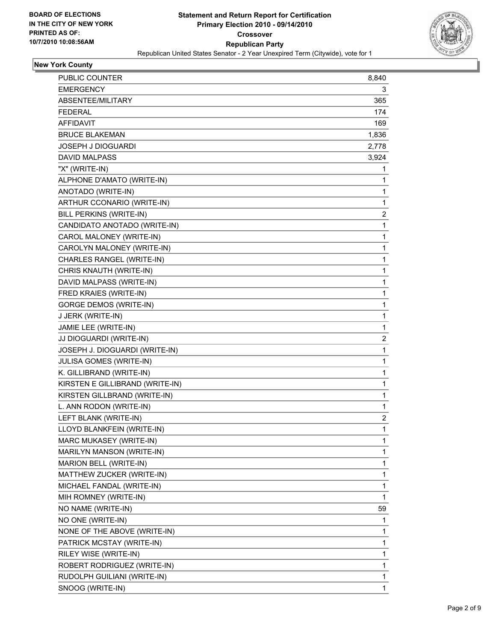

## **New York County**

| <b>PUBLIC COUNTER</b>           | 8,840        |
|---------------------------------|--------------|
| <b>EMERGENCY</b>                | 3            |
| ABSENTEE/MILITARY               | 365          |
| <b>FEDERAL</b>                  | 174          |
| <b>AFFIDAVIT</b>                | 169          |
| <b>BRUCE BLAKEMAN</b>           | 1,836        |
| <b>JOSEPH J DIOGUARDI</b>       | 2,778        |
| <b>DAVID MALPASS</b>            | 3,924        |
| "X" (WRITE-IN)                  | 1            |
| ALPHONE D'AMATO (WRITE-IN)      | 1            |
| ANOTADO (WRITE-IN)              | 1            |
| ARTHUR CCONARIO (WRITE-IN)      | 1            |
| BILL PERKINS (WRITE-IN)         | 2            |
| CANDIDATO ANOTADO (WRITE-IN)    | $\mathbf{1}$ |
| CAROL MALONEY (WRITE-IN)        | 1            |
| CAROLYN MALONEY (WRITE-IN)      | 1            |
| CHARLES RANGEL (WRITE-IN)       | 1            |
| CHRIS KNAUTH (WRITE-IN)         | 1            |
| DAVID MALPASS (WRITE-IN)        | 1            |
| FRED KRAIES (WRITE-IN)          | 1            |
| <b>GORGE DEMOS (WRITE-IN)</b>   | 1            |
| J JERK (WRITE-IN)               | 1            |
| JAMIE LEE (WRITE-IN)            | 1            |
| JJ DIOGUARDI (WRITE-IN)         | 2            |
| JOSEPH J. DIOGUARDI (WRITE-IN)  | 1            |
| JULISA GOMES (WRITE-IN)         | 1            |
| K. GILLIBRAND (WRITE-IN)        | 1            |
| KIRSTEN E GILLIBRAND (WRITE-IN) | 1            |
| KIRSTEN GILLBRAND (WRITE-IN)    | 1            |
| L. ANN RODON (WRITE-IN)         | 1            |
| LEFT BLANK (WRITE-IN)           | 2            |
| LLOYD BLANKFEIN (WRITE-IN)      | $\mathbf{1}$ |
| MARC MUKASEY (WRITE-IN)         | 1            |
| MARILYN MANSON (WRITE-IN)       | 1            |
| MARION BELL (WRITE-IN)          | 1            |
| MATTHEW ZUCKER (WRITE-IN)       | 1            |
| MICHAEL FANDAL (WRITE-IN)       | 1            |
| MIH ROMNEY (WRITE-IN)           | $\mathbf{1}$ |
| NO NAME (WRITE-IN)              | 59           |
| NO ONE (WRITE-IN)               | 1            |
| NONE OF THE ABOVE (WRITE-IN)    | 1            |
| PATRICK MCSTAY (WRITE-IN)       | 1            |
| RILEY WISE (WRITE-IN)           | 1            |
| ROBERT RODRIGUEZ (WRITE-IN)     | 1            |
| RUDOLPH GUILIANI (WRITE-IN)     | 1            |
| SNOOG (WRITE-IN)                | 1            |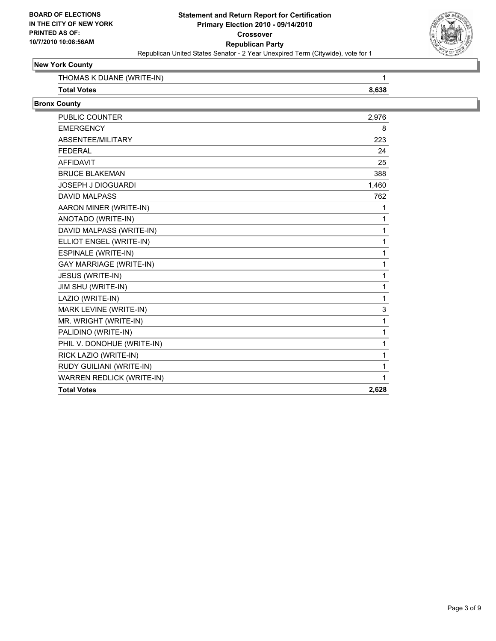

## **New York County**

| (WRITF-IN)<br>THOMAS<br>IA NI- |  |
|--------------------------------|--|
| Total<br>ั่วtes                |  |

#### **Bronx County**

| <b>PUBLIC COUNTER</b>            | 2,976 |
|----------------------------------|-------|
| <b>EMERGENCY</b>                 | 8     |
| ABSENTEE/MILITARY                | 223   |
| <b>FEDERAL</b>                   | 24    |
| <b>AFFIDAVIT</b>                 | 25    |
| <b>BRUCE BLAKEMAN</b>            | 388   |
| <b>JOSEPH J DIOGUARDI</b>        | 1,460 |
| <b>DAVID MALPASS</b>             | 762   |
| AARON MINER (WRITE-IN)           | 1     |
| ANOTADO (WRITE-IN)               | 1     |
| DAVID MALPASS (WRITE-IN)         | 1     |
| ELLIOT ENGEL (WRITE-IN)          | 1     |
| <b>ESPINALE (WRITE-IN)</b>       | 1     |
| <b>GAY MARRIAGE (WRITE-IN)</b>   | 1     |
| JESUS (WRITE-IN)                 | 1     |
| JIM SHU (WRITE-IN)               | 1     |
| LAZIO (WRITE-IN)                 | 1     |
| MARK LEVINE (WRITE-IN)           | 3     |
| MR. WRIGHT (WRITE-IN)            | 1     |
| PALIDINO (WRITE-IN)              | 1     |
| PHIL V. DONOHUE (WRITE-IN)       | 1     |
| RICK LAZIO (WRITE-IN)            | 1     |
| RUDY GUILIANI (WRITE-IN)         | 1     |
| <b>WARREN REDLICK (WRITE-IN)</b> | 1     |
| <b>Total Votes</b>               | 2,628 |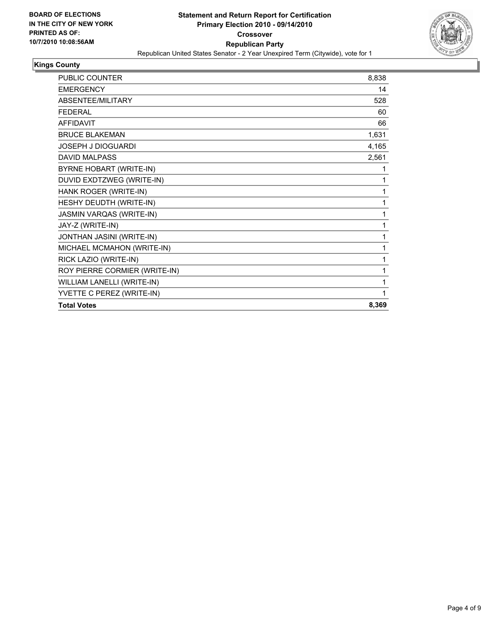

## **Kings County**

| <b>PUBLIC COUNTER</b>           | 8,838 |
|---------------------------------|-------|
| <b>EMERGENCY</b>                | 14    |
| ABSENTEE/MILITARY               | 528   |
| <b>FEDERAL</b>                  | 60    |
| <b>AFFIDAVIT</b>                | 66    |
| <b>BRUCE BLAKEMAN</b>           | 1,631 |
| <b>JOSEPH J DIOGUARDI</b>       | 4,165 |
| <b>DAVID MALPASS</b>            | 2,561 |
| BYRNE HOBART (WRITE-IN)         | 1     |
| DUVID EXDTZWEG (WRITE-IN)       | 1     |
| HANK ROGER (WRITE-IN)           | 1     |
| HESHY DEUDTH (WRITE-IN)         | 1     |
| <b>JASMIN VARQAS (WRITE-IN)</b> | 1     |
| JAY-Z (WRITE-IN)                | 1     |
| JONTHAN JASINI (WRITE-IN)       | 1     |
| MICHAEL MCMAHON (WRITE-IN)      | 1     |
| RICK LAZIO (WRITE-IN)           | 1     |
| ROY PIERRE CORMIER (WRITE-IN)   | 1     |
| WILLIAM LANELLI (WRITE-IN)      | 1     |
| YVETTE C PEREZ (WRITE-IN)       | 1     |
| <b>Total Votes</b>              | 8,369 |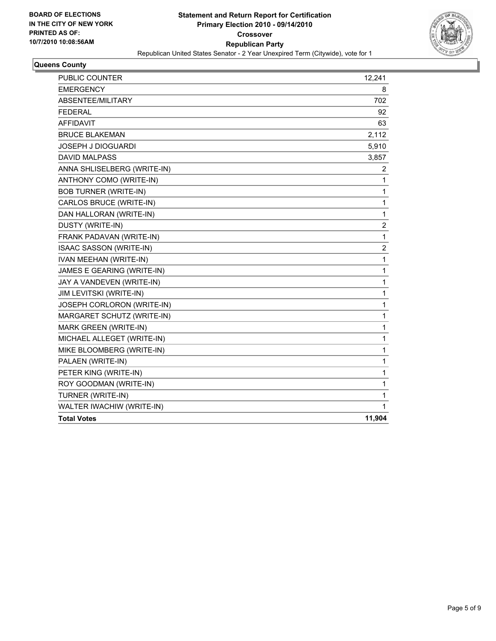

#### **Queens County**

| PUBLIC COUNTER               | 12,241                  |
|------------------------------|-------------------------|
| <b>EMERGENCY</b>             | 8                       |
| ABSENTEE/MILITARY            | 702                     |
| <b>FEDERAL</b>               | 92                      |
| <b>AFFIDAVIT</b>             | 63                      |
| <b>BRUCE BLAKEMAN</b>        | 2,112                   |
| JOSEPH J DIOGUARDI           | 5,910                   |
| <b>DAVID MALPASS</b>         | 3,857                   |
| ANNA SHLISELBERG (WRITE-IN)  | 2                       |
| ANTHONY COMO (WRITE-IN)      | 1                       |
| <b>BOB TURNER (WRITE-IN)</b> | 1                       |
| CARLOS BRUCE (WRITE-IN)      | 1                       |
| DAN HALLORAN (WRITE-IN)      | 1                       |
| DUSTY (WRITE-IN)             | $\boldsymbol{2}$        |
| FRANK PADAVAN (WRITE-IN)     | 1                       |
| ISAAC SASSON (WRITE-IN)      | $\overline{\mathbf{c}}$ |
| IVAN MEEHAN (WRITE-IN)       | 1                       |
| JAMES E GEARING (WRITE-IN)   | 1                       |
| JAY A VANDEVEN (WRITE-IN)    | 1                       |
| JIM LEVITSKI (WRITE-IN)      | 1                       |
| JOSEPH CORLORON (WRITE-IN)   | 1                       |
| MARGARET SCHUTZ (WRITE-IN)   | 1                       |
| MARK GREEN (WRITE-IN)        | 1                       |
| MICHAEL ALLEGET (WRITE-IN)   | 1                       |
| MIKE BLOOMBERG (WRITE-IN)    | 1                       |
| PALAEN (WRITE-IN)            | 1                       |
| PETER KING (WRITE-IN)        | 1                       |
| ROY GOODMAN (WRITE-IN)       | 1                       |
| TURNER (WRITE-IN)            | 1                       |
| WALTER IWACHIW (WRITE-IN)    | 1                       |
| <b>Total Votes</b>           | 11,904                  |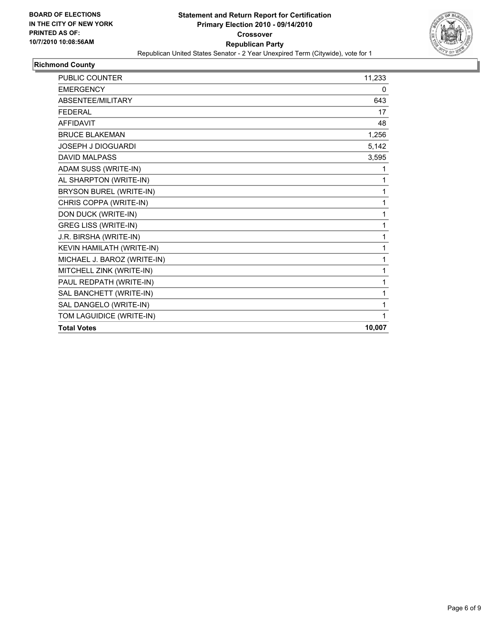

## **Richmond County**

| <b>PUBLIC COUNTER</b>       | 11,233 |
|-----------------------------|--------|
| <b>EMERGENCY</b>            | 0      |
| ABSENTEE/MILITARY           | 643    |
| <b>FEDERAL</b>              | 17     |
| <b>AFFIDAVIT</b>            | 48     |
| <b>BRUCE BLAKEMAN</b>       | 1,256  |
| <b>JOSEPH J DIOGUARDI</b>   | 5,142  |
| <b>DAVID MALPASS</b>        | 3,595  |
| ADAM SUSS (WRITE-IN)        | 1      |
| AL SHARPTON (WRITE-IN)      | 1      |
| BRYSON BUREL (WRITE-IN)     | 1      |
| CHRIS COPPA (WRITE-IN)      | 1      |
| DON DUCK (WRITE-IN)         | 1      |
| <b>GREG LISS (WRITE-IN)</b> | 1      |
| J.R. BIRSHA (WRITE-IN)      | 1      |
| KEVIN HAMILATH (WRITE-IN)   | 1      |
| MICHAEL J. BAROZ (WRITE-IN) | 1      |
| MITCHELL ZINK (WRITE-IN)    | 1      |
| PAUL REDPATH (WRITE-IN)     | 1      |
| SAL BANCHETT (WRITE-IN)     | 1      |
| SAL DANGELO (WRITE-IN)      | 1      |
| TOM LAGUIDICE (WRITE-IN)    | 1      |
| <b>Total Votes</b>          | 10,007 |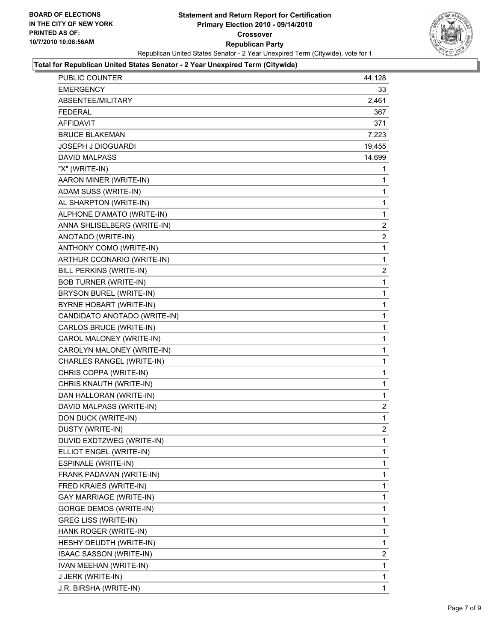

#### **Total for Republican United States Senator - 2 Year Unexpired Term (Citywide)**

| PUBLIC COUNTER               | 44,128         |
|------------------------------|----------------|
| <b>EMERGENCY</b>             | 33             |
| ABSENTEE/MILITARY            | 2,461          |
| <b>FEDERAL</b>               | 367            |
| <b>AFFIDAVIT</b>             | 371            |
| <b>BRUCE BLAKEMAN</b>        | 7,223          |
| <b>JOSEPH J DIOGUARDI</b>    | 19,455         |
| <b>DAVID MALPASS</b>         | 14,699         |
| "X" (WRITE-IN)               | 1              |
| AARON MINER (WRITE-IN)       | 1              |
| ADAM SUSS (WRITE-IN)         | 1              |
| AL SHARPTON (WRITE-IN)       | 1              |
| ALPHONE D'AMATO (WRITE-IN)   | 1              |
| ANNA SHLISELBERG (WRITE-IN)  | $\overline{2}$ |
| ANOTADO (WRITE-IN)           | $\overline{2}$ |
| ANTHONY COMO (WRITE-IN)      | 1              |
| ARTHUR CCONARIO (WRITE-IN)   | 1              |
| BILL PERKINS (WRITE-IN)      | 2              |
| <b>BOB TURNER (WRITE-IN)</b> | 1              |
| BRYSON BUREL (WRITE-IN)      | 1              |
| BYRNE HOBART (WRITE-IN)      | 1              |
| CANDIDATO ANOTADO (WRITE-IN) | 1              |
| CARLOS BRUCE (WRITE-IN)      | 1              |
| CAROL MALONEY (WRITE-IN)     | 1              |
| CAROLYN MALONEY (WRITE-IN)   | 1              |
| CHARLES RANGEL (WRITE-IN)    | 1              |
| CHRIS COPPA (WRITE-IN)       | 1              |
| CHRIS KNAUTH (WRITE-IN)      | 1              |
| DAN HALLORAN (WRITE-IN)      | 1              |
| DAVID MALPASS (WRITE-IN)     | 2              |
| DON DUCK (WRITE-IN)          | 1              |
| DUSTY (WRITE-IN)             | $\overline{2}$ |
| DUVID EXDTZWEG (WRITE-IN)    | 1              |
| ELLIOT ENGEL (WRITE-IN)      | 1              |
| ESPINALE (WRITE-IN)          | 1              |
| FRANK PADAVAN (WRITE-IN)     | 1              |
| FRED KRAIES (WRITE-IN)       | 1              |
| GAY MARRIAGE (WRITE-IN)      | 1              |
| GORGE DEMOS (WRITE-IN)       | 1              |
| <b>GREG LISS (WRITE-IN)</b>  | 1              |
| HANK ROGER (WRITE-IN)        | 1              |
| HESHY DEUDTH (WRITE-IN)      | 1              |
| ISAAC SASSON (WRITE-IN)      | 2              |
| IVAN MEEHAN (WRITE-IN)       | 1              |
| J JERK (WRITE-IN)            | 1              |
| J.R. BIRSHA (WRITE-IN)       | 1              |
|                              |                |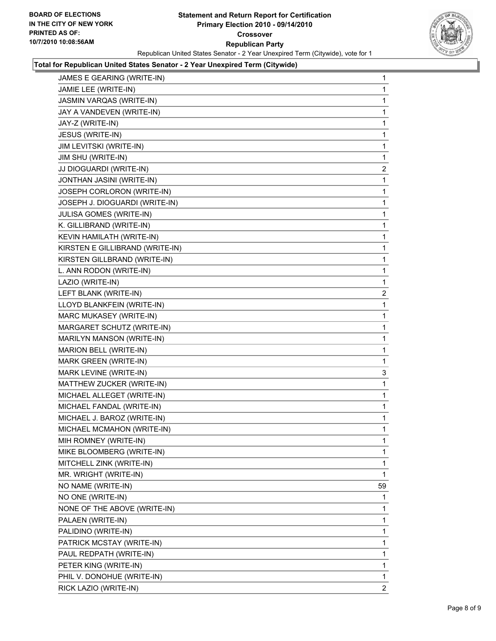

#### **Total for Republican United States Senator - 2 Year Unexpired Term (Citywide)**

| JAMES E GEARING (WRITE-IN)      | 1            |
|---------------------------------|--------------|
| JAMIE LEE (WRITE-IN)            | 1            |
| JASMIN VARQAS (WRITE-IN)        | 1            |
| JAY A VANDEVEN (WRITE-IN)       | 1            |
| JAY-Z (WRITE-IN)                | 1            |
| JESUS (WRITE-IN)                | 1            |
| JIM LEVITSKI (WRITE-IN)         | 1            |
| JIM SHU (WRITE-IN)              | 1            |
| JJ DIOGUARDI (WRITE-IN)         | 2            |
| JONTHAN JASINI (WRITE-IN)       | 1            |
| JOSEPH CORLORON (WRITE-IN)      | 1            |
| JOSEPH J. DIOGUARDI (WRITE-IN)  | 1            |
| JULISA GOMES (WRITE-IN)         | 1            |
| K. GILLIBRAND (WRITE-IN)        | 1            |
| KEVIN HAMILATH (WRITE-IN)       | 1            |
| KIRSTEN E GILLIBRAND (WRITE-IN) | 1            |
| KIRSTEN GILLBRAND (WRITE-IN)    | 1            |
| L. ANN RODON (WRITE-IN)         | 1            |
| LAZIO (WRITE-IN)                | 1            |
| LEFT BLANK (WRITE-IN)           | $\mathbf{2}$ |
| LLOYD BLANKFEIN (WRITE-IN)      | 1            |
| MARC MUKASEY (WRITE-IN)         | 1            |
| MARGARET SCHUTZ (WRITE-IN)      | 1            |
| MARILYN MANSON (WRITE-IN)       | 1            |
| MARION BELL (WRITE-IN)          | 1            |
| MARK GREEN (WRITE-IN)           | 1            |
| MARK LEVINE (WRITE-IN)          | 3            |
| MATTHEW ZUCKER (WRITE-IN)       | 1            |
| MICHAEL ALLEGET (WRITE-IN)      | 1            |
| MICHAEL FANDAL (WRITE-IN)       | 1            |
| MICHAEL J. BAROZ (WRITE-IN)     | 1            |
| MICHAEL MCMAHON (WRITE-IN)      | 1            |
| MIH ROMNEY (WRITE-IN)           | 1            |
| MIKE BLOOMBERG (WRITE-IN)       | 1            |
| MITCHELL ZINK (WRITE-IN)        | 1            |
| MR. WRIGHT (WRITE-IN)           | 1            |
| NO NAME (WRITE-IN)              | 59           |
| NO ONE (WRITE-IN)               | 1            |
| NONE OF THE ABOVE (WRITE-IN)    | 1            |
| PALAEN (WRITE-IN)               | 1            |
| PALIDINO (WRITE-IN)             | 1            |
| PATRICK MCSTAY (WRITE-IN)       | 1            |
| PAUL REDPATH (WRITE-IN)         | 1            |
| PETER KING (WRITE-IN)           | 1            |
| PHIL V. DONOHUE (WRITE-IN)      | 1            |
| RICK LAZIO (WRITE-IN)           | $\mathbf{2}$ |
|                                 |              |